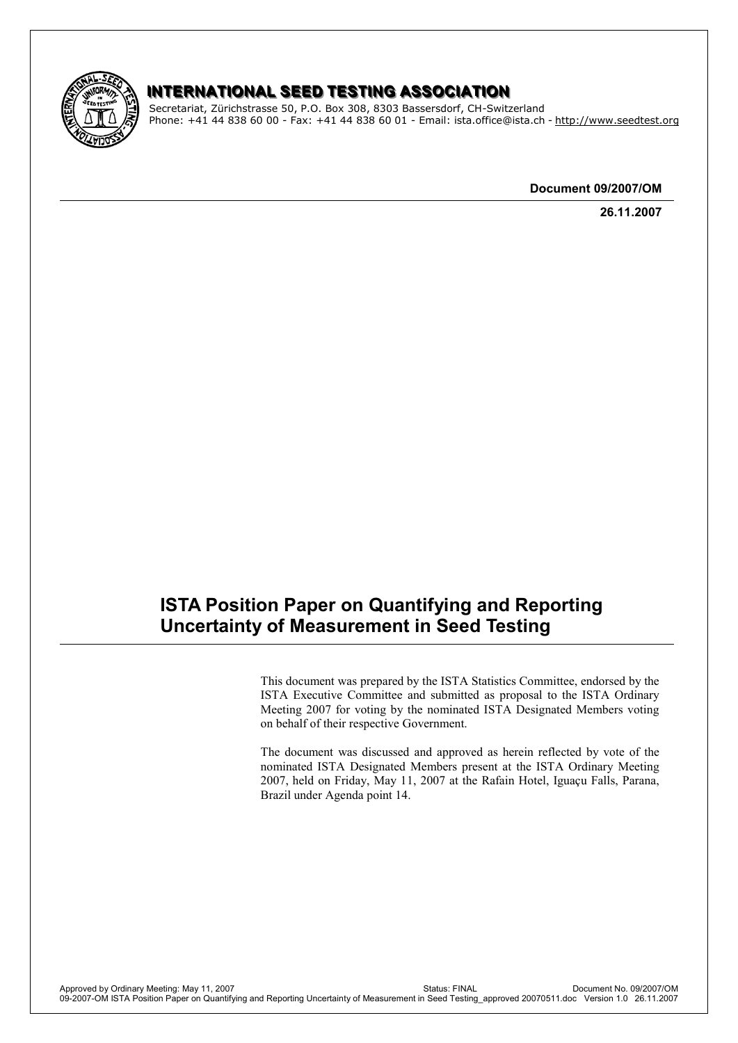

### INTERNATIONAL SEED TESTING ASSOCIATION

Secretariat, Zürichstrasse 50, P.O. Box 308, 8303 Bassersdorf, CH-Switzerland Phone: +41 44 838 60 00 - Fax: +41 44 838 60 01 - Email: ista.office@ista.ch - http://www.seedtest.org

**Document 09/2007/OM**

**26.11.2007**

# **ISTA Position Paper on Quantifying and Reporting Uncertainty of Measurement in Seed Testing**

This document was prepared by the ISTA Statistics Committee, endorsed by the ISTA Executive Committee and submitted as proposal to the ISTA Ordinary Meeting 2007 for voting by the nominated ISTA Designated Members voting on behalf of their respective Government.

The document was discussed and approved as herein reflected by vote of the nominated ISTA Designated Members present at the ISTA Ordinary Meeting 2007, held on Friday, May 11, 2007 at the Rafain Hotel, Iguaçu Falls, Parana, Brazil under Agenda point 14.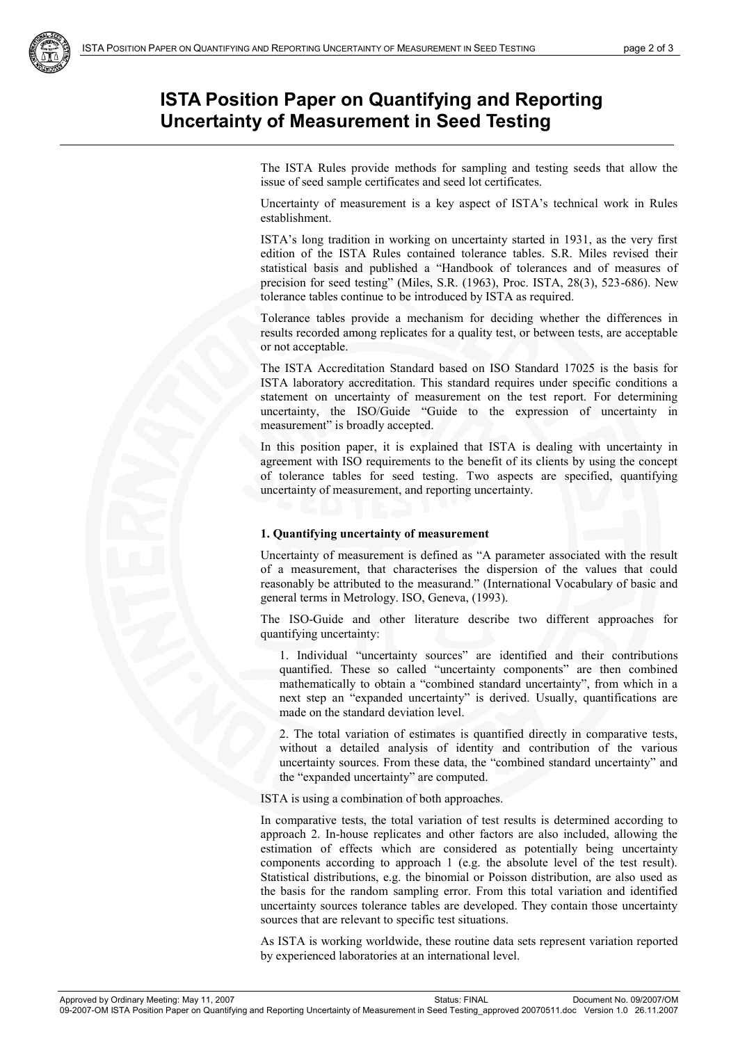# **ISTA Position Paper on Quantifying and Reporting Uncertainty of Measurement in Seed Testing**

The ISTA Rules provide methods for sampling and testing seeds that allow the issue of seed sample certificates and seed lot certificates.

Uncertainty of measurement is a key aspect of ISTA's technical work in Rules establishment.

ISTA's long tradition in working on uncertainty started in 1931, as the very first edition of the ISTA Rules contained tolerance tables. S.R. Miles revised their statistical basis and published a "Handbook of tolerances and of measures of precision for seed testing" (Miles, S.R. (1963), Proc. ISTA, 28(3), 523-686). New tolerance tables continue to be introduced by ISTA as required.

Tolerance tables provide a mechanism for deciding whether the differences in results recorded among replicates for a quality test, or between tests, are acceptable or not acceptable.

The ISTA Accreditation Standard based on ISO Standard 17025 is the basis for ISTA laboratory accreditation. This standard requires under specific conditions a statement on uncertainty of measurement on the test report. For determining uncertainty, the ISO/Guide "Guide to the expression of uncertainty in measurement" is broadly accepted.

In this position paper, it is explained that ISTA is dealing with uncertainty in agreement with ISO requirements to the benefit of its clients by using the concept of tolerance tables for seed testing. Two aspects are specified, quantifying uncertainty of measurement, and reporting uncertainty.

#### **1. Quantifying uncertainty of measurement**

Uncertainty of measurement is defined as "A parameter associated with the result of a measurement, that characterises the dispersion of the values that could reasonably be attributed to the measurand." (International Vocabulary of basic and general terms in Metrology. ISO, Geneva, (1993).

The ISO-Guide and other literature describe two different approaches for quantifying uncertainty:

1. Individual "uncertainty sources" are identified and their contributions quantified. These so called "uncertainty components" are then combined mathematically to obtain a "combined standard uncertainty", from which in a next step an "expanded uncertainty" is derived. Usually, quantifications are made on the standard deviation level.

2. The total variation of estimates is quantified directly in comparative tests, without a detailed analysis of identity and contribution of the various uncertainty sources. From these data, the "combined standard uncertainty" and the "expanded uncertainty" are computed.

ISTA is using a combination of both approaches.

In comparative tests, the total variation of test results is determined according to approach 2. In-house replicates and other factors are also included, allowing the estimation of effects which are considered as potentially being uncertainty components according to approach 1 (e.g. the absolute level of the test result). Statistical distributions, e.g. the binomial or Poisson distribution, are also used as the basis for the random sampling error. From this total variation and identified uncertainty sources tolerance tables are developed. They contain those uncertainty sources that are relevant to specific test situations.

As ISTA is working worldwide, these routine data sets represent variation reported by experienced laboratories at an international level.